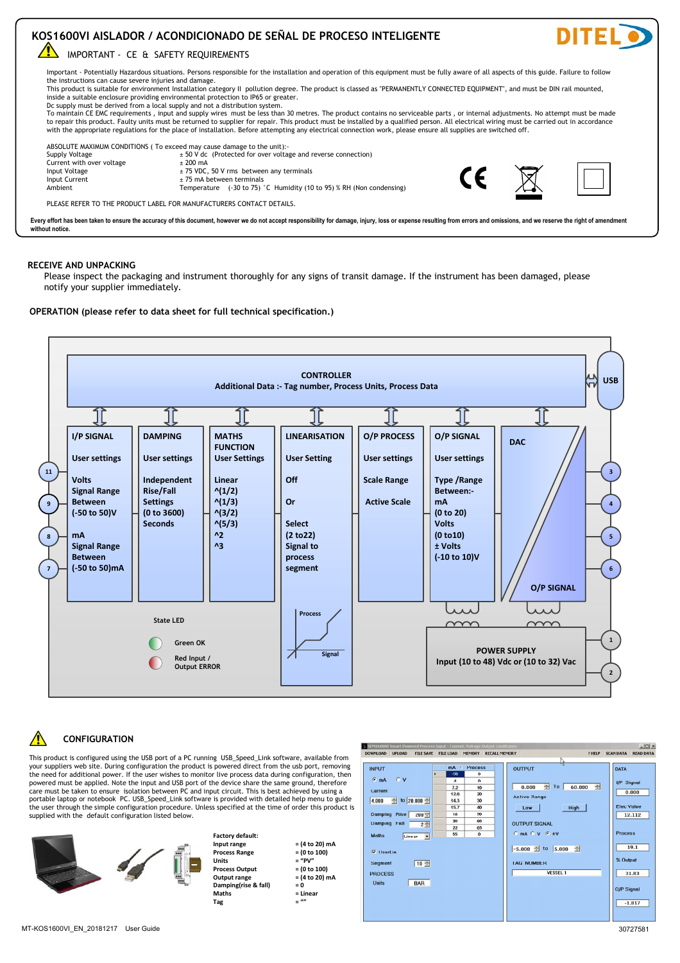

## **RECEPCIÓN Y DESEMBALAJE**

Inspeccione minuciosamente el embalaje y el instrumento para detectar signos de daños durante el transporte. Si el instrumento ha sido dañado, notifique a su proveedor inmediatamente.

**OPERACIÓN (por favor, consulte la hoja de datos para las especificaciones técnicas completas.)**

**KOS1600VI AISLADOR / ACONDICIONADO DE SEÑAL DE PROCESO INTELIGENTE**



## **CONFIGURACIÓN**

Este producto se configura mediante el puerto USB de un PC con el software USB\_Speed\_Link, disponible en el sitio web de DITEL Durante la configuración, el producto se alimenta directamente desde el puerto<br>USB, eliminando la necesidad de alimentación adicional. Si el usuario desea monitorear los datos del proceso en vivo durante la configuración, entonces se debe aplicar alimentación. Tenga en cuenta que la entrada y el puerto USB del dispositivo comparten la misma conexión a tierra, por lo tanto, se debe tener cuidado para asegurar el aislamiento entre el PC y el circuito de entrada. Esto se logra mejor usando un computador portátil. El software USB\_Speed\_Link se proporciona con un menú de ayuda detallado para guiar al usuario a través del sencillo procedimiento de configuración. A menos que se especifique en el momento del pedido, este producto se suministra con la configuración predeterminada que se detalla a continuación..

**Programación de fábrica:**

**Rango de proceso = (0 a 100)**

**Salida proceso = (0 a 100)**

**Matemáticas = Lineal**

**Rango entrada = (4 a 20) mA**

**Rango salida = (4 a 20) mA Amortiguación(rise & fall) = 0**

 $Unidades$   $=$  "PV"<br>Salida proceso  $= (0, 3, 100)$ 

**Tag = ""**



| DOWNLOAD UPLOAD                                            |                                       | FILE SAVE FILE LOAD MEMORY RECALL MEMORY | ? HELP<br>hè                                           | <b>SCAN DATA</b><br><b>READ DATA</b> |
|------------------------------------------------------------|---------------------------------------|------------------------------------------|--------------------------------------------------------|--------------------------------------|
| <b>INPUT</b><br>$C$ V<br>$G$ <sub>m</sub> A                | mA<br>×<br>$-50$<br>٠<br>$\mathbf{A}$ | Process<br>$\circ$<br>$\Omega$           | <b>OUTPUT</b>                                          | <b>DATA</b><br>I/P Signal            |
| Current                                                    | 7.2<br>12.6                           | 10<br>20                                 | 준<br>÷<br>To<br>0.000<br>60.000<br><b>Active Range</b> | 0.000                                |
| $\div$ to 20.000 $\div$<br>4.000                           | 14.3<br>15.7                          | 30<br>40                                 | High<br>Low                                            | <b>Elec Value</b>                    |
| Damping Rise<br>$200 -$<br><b>Damping Fall</b><br>$2 \div$ | 18<br>20<br>22                        | 50<br>60<br>65                           | <b>OUTPUT SIGNAL</b>                                   | 12.112                               |
| <b>Maths</b><br>Linear v                                   | 55                                    | $\mathbf{0}$                             | $C$ mA $C$ V $C$ $\pm$ V                               | <b>Process</b>                       |
| $\nabla$ Used in                                           |                                       |                                          | $-5.000$ to $5.000$ $\pm$                              | 19.1<br>% Output                     |
| $10 -$<br><b>Segment</b><br><b>PROCESS</b>                 |                                       |                                          | <b>TAG NUMBER</b><br><b>VESSEL 1</b>                   | 31.83                                |
| <b>Units</b><br><b>BAR</b>                                 |                                       |                                          |                                                        | <b>O/P Signal</b>                    |
|                                                            |                                       |                                          |                                                        | $-1.817$                             |